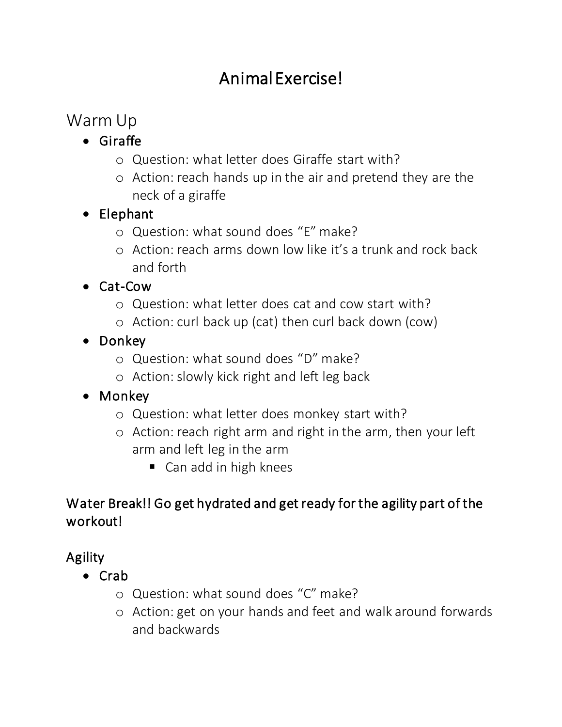# Animal Exercise!

# Warm Up

- Giraffe
	- o Question: what letter does Giraffe start with?
	- o Action: reach hands up in the air and pretend they are the neck of a giraffe
- Elephant
	- o Question: what sound does "E" make?
	- o Action: reach arms down low like it's a trunk and rock back and forth
- Cat-Cow
	- o Question: what letter does cat and cow start with?
	- o Action: curl back up (cat) then curl back down (cow)
- Donkey
	- o Question: what sound does "D" make?
	- o Action: slowly kick right and left leg back

#### • Monkey

- o Question: what letter does monkey start with?
- o Action: reach right arm and right in the arm, then your left arm and left leg in the arm
	- Can add in high knees

### Water Break!! Go get hydrated and get ready for the agility part of the workout!

# Agility

- Crab
	- o Question: what sound does "C" make?
	- o Action: get on your hands and feet and walk around forwards and backwards